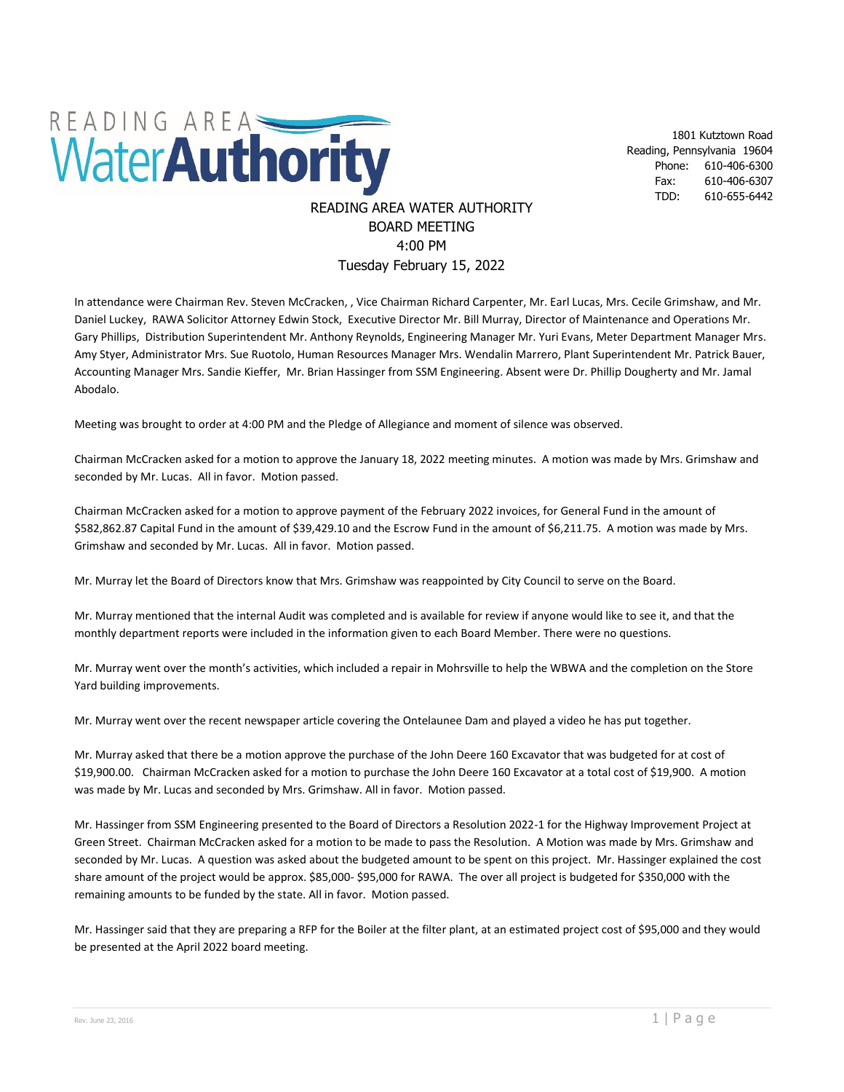

1801 Kutztown Road Reading, Pennsylvania 19604 Phone: 610-406-6300 Fax: 610-406-6307 TDD: 610-655-6442

## READING AREA WATER AUTHORITY BOARD MEETING 4:00 PM Tuesday February 15, 2022

In attendance were Chairman Rev. Steven McCracken, , Vice Chairman Richard Carpenter, Mr. Earl Lucas, Mrs. Cecile Grimshaw, and Mr. Daniel Luckey, RAWA Solicitor Attorney Edwin Stock, Executive Director Mr. Bill Murray, Director of Maintenance and Operations Mr. Gary Phillips, Distribution Superintendent Mr. Anthony Reynolds, Engineering Manager Mr. Yuri Evans, Meter Department Manager Mrs. Amy Styer, Administrator Mrs. Sue Ruotolo, Human Resources Manager Mrs. Wendalin Marrero, Plant Superintendent Mr. Patrick Bauer, Accounting Manager Mrs. Sandie Kieffer, Mr. Brian Hassinger from SSM Engineering. Absent were Dr. Phillip Dougherty and Mr. Jamal Abodalo.

Meeting was brought to order at 4:00 PM and the Pledge of Allegiance and moment of silence was observed.

Chairman McCracken asked for a motion to approve the January 18, 2022 meeting minutes. A motion was made by Mrs. Grimshaw and seconded by Mr. Lucas. All in favor. Motion passed.

Chairman McCracken asked for a motion to approve payment of the February 2022 invoices, for General Fund in the amount of \$582,862.87 Capital Fund in the amount of \$39,429.10 and the Escrow Fund in the amount of \$6,211.75. A motion was made by Mrs. Grimshaw and seconded by Mr. Lucas. All in favor. Motion passed.

Mr. Murray let the Board of Directors know that Mrs. Grimshaw was reappointed by City Council to serve on the Board.

Mr. Murray mentioned that the internal Audit was completed and is available for review if anyone would like to see it, and that the monthly department reports were included in the information given to each Board Member. There were no questions.

Mr. Murray went over the month's activities, which included a repair in Mohrsville to help the WBWA and the completion on the Store Yard building improvements.

Mr. Murray went over the recent newspaper article covering the Ontelaunee Dam and played a video he has put together.

Mr. Murray asked that there be a motion approve the purchase of the John Deere 160 Excavator that was budgeted for at cost of \$19,900.00. Chairman McCracken asked for a motion to purchase the John Deere 160 Excavator at a total cost of \$19,900. A motion was made by Mr. Lucas and seconded by Mrs. Grimshaw. All in favor. Motion passed.

Mr. Hassinger from SSM Engineering presented to the Board of Directors a Resolution 2022-1 for the Highway Improvement Project at Green Street. Chairman McCracken asked for a motion to be made to pass the Resolution. A Motion was made by Mrs. Grimshaw and seconded by Mr. Lucas. A question was asked about the budgeted amount to be spent on this project. Mr. Hassinger explained the cost share amount of the project would be approx. \$85,000- \$95,000 for RAWA. The over all project is budgeted for \$350,000 with the remaining amounts to be funded by the state. All in favor. Motion passed.

Mr. Hassinger said that they are preparing a RFP for the Boiler at the filter plant, at an estimated project cost of \$95,000 and they would be presented at the April 2022 board meeting.